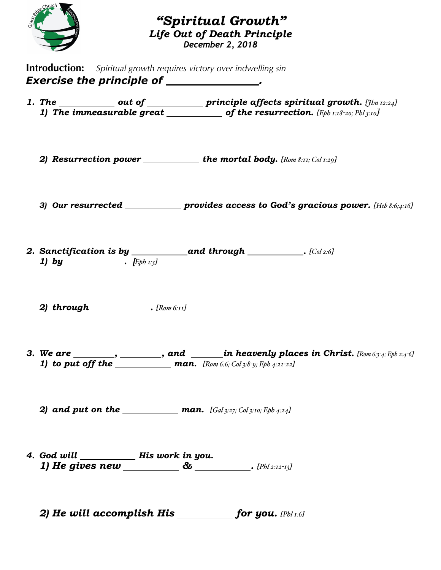

#### *"Spiritual Growth" Life Out of Death Principle December 2, 2018*

**Introduction:** *Spiritual growth requires victory over indwelling sin* **Exercise the principle of \_\_\_\_\_\_\_\_\_\_\_\_\_\_\_.** 

- 1. The \_\_\_\_\_\_\_\_\_\_\_ out of \_\_\_\_\_\_\_\_\_\_\_\_ principle affects spiritual growth. *[Jbn* 12:24*]* 1) The immeasurable great  $\frac{1}{\sqrt{2\pi}}$  of the resurrection. [Eph 1:18-20; Phl 3:10]
	- 2) **Resurrection power** \_\_\_\_\_\_\_\_\_\_\_the mortal body.  $[Row 8:II; Col 1:29]$
	- *3) Our resurrected provides access to God's gracious power. [Heb 8:6;4:16]*
- *2. Sanctification is by and through . [Col 2:6] 1) by* \_\_\_\_\_\_\_\_\_\_\_\_\_.  $[{\rm Eph } x_3]$ 
	- *2) through . [Rom 6:11]*
- *3. We are , , and in heavenly places in Christ. [Rom 6:3-4; Eph 2:4-6] 1) to put off the man. [Rom 6:6; Col 3:8-9; Eph 4:21-22]*
	- 2) and put on the <u>man.</u> *man. [Gal* 3:27; *Col* 3:10; *Eph 4:24]*
- 4. God will \_\_\_\_\_\_\_\_\_\_\_\_ His work in you. *1) He gives new & . [Phl 2:12-13]*
	- *2) He will accomplish His for you. [Phl 1:6]*